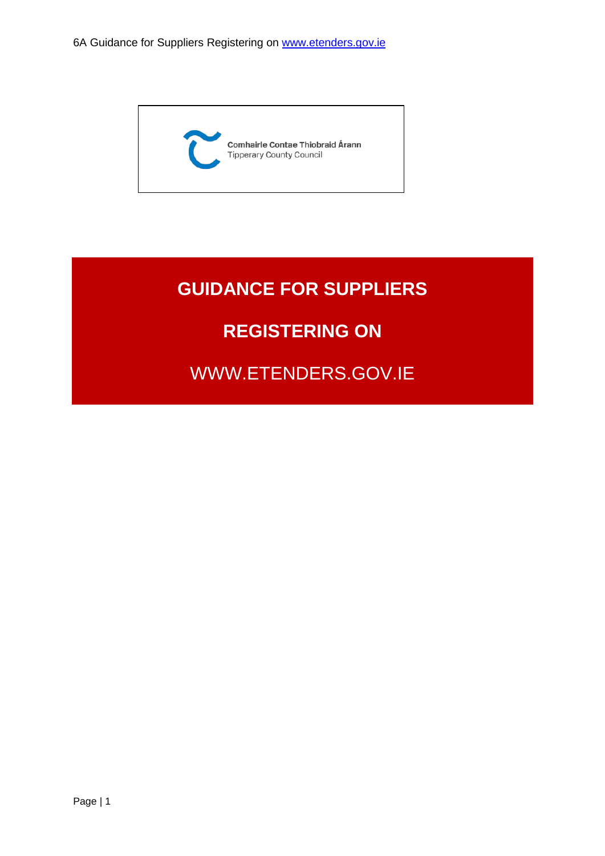

# **GUIDANCE FOR SUPPLIERS**

## **REGISTERING ON**

WWW.ETENDERS.GOV.IE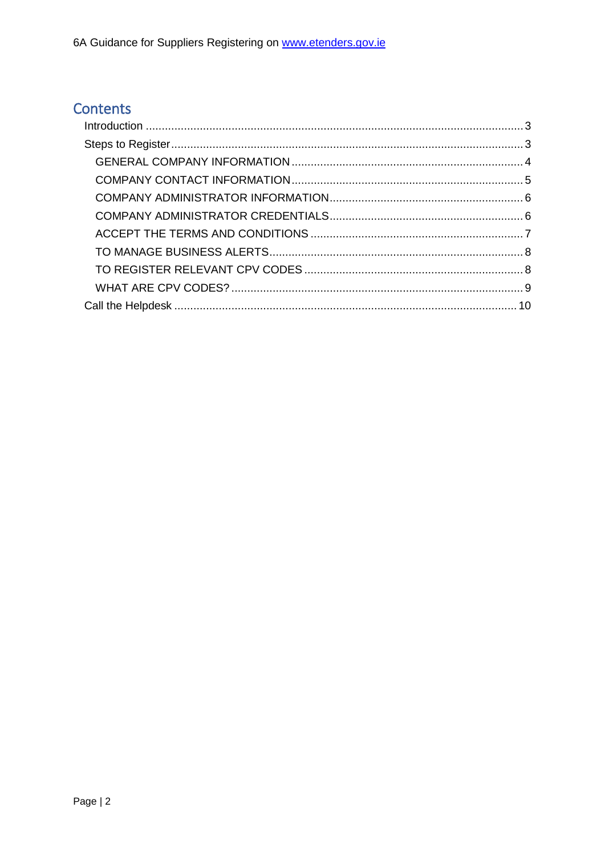### Contents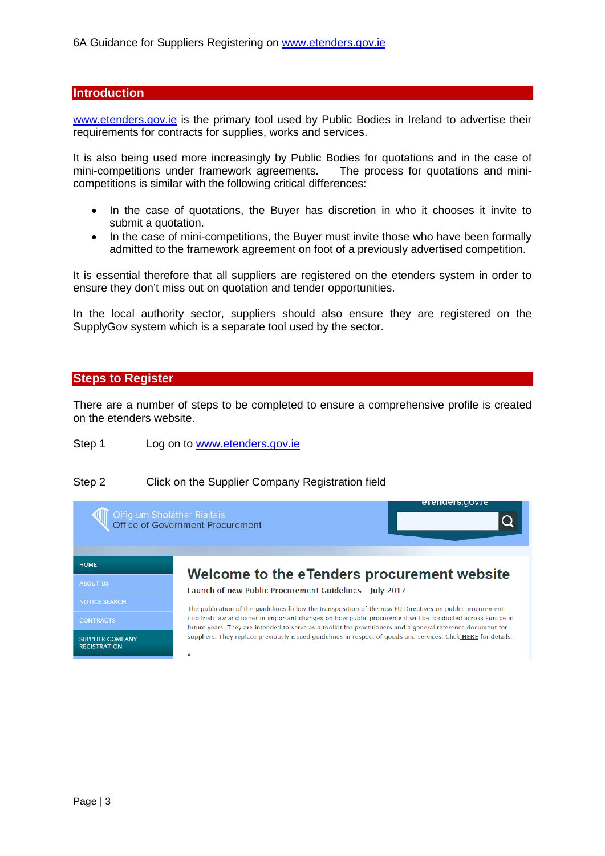#### <span id="page-2-0"></span>**Introduction**

[www.etenders.gov.ie](http://www.etenders.gov.ie/) is the primary tool used by Public Bodies in Ireland to advertise their requirements for contracts for supplies, works and services.

It is also being used more increasingly by Public Bodies for quotations and in the case of mini-competitions under framework agreements. The process for quotations and minicompetitions is similar with the following critical differences:

- In the case of quotations, the Buyer has discretion in who it chooses it invite to submit a quotation.
- In the case of mini-competitions, the Buyer must invite those who have been formally admitted to the framework agreement on foot of a previously advertised competition.

It is essential therefore that all suppliers are registered on the etenders system in order to ensure they don't miss out on quotation and tender opportunities.

In the local authority sector, suppliers should also ensure they are registered on the SupplyGov system which is a separate tool used by the sector.

#### <span id="page-2-1"></span>**Steps to Register**

There are a number of steps to be completed to ensure a comprehensive profile is created on the etenders website.

Step 1 Log on to [www.etenders.gov.ie](http://www.etenders.gov.ie/)

#### Step 2 Click on the Supplier Company Registration field

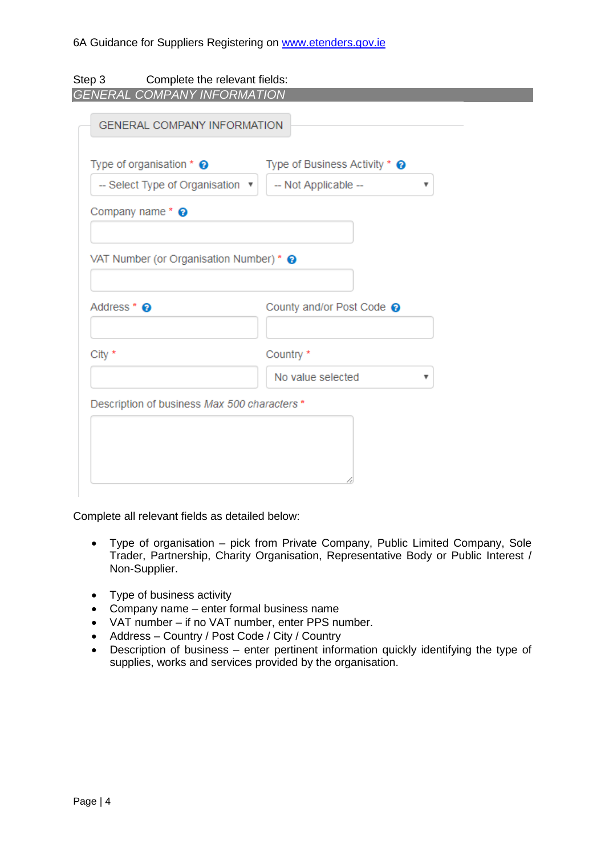<span id="page-3-0"></span>

| Complete the relevant fields:<br>Step 3                |                                      |
|--------------------------------------------------------|--------------------------------------|
| <b>GENERAL COMPANY INFORMATION</b>                     |                                      |
| <b>GENERAL COMPANY INFORMATION</b>                     |                                      |
| Type of organisation $*$ $\odot$                       | Type of Business Activity * <b>◎</b> |
| -- Select Type of Organisation v                       | -- Not Applicable --<br>▼            |
| Company name* <sup>®</sup>                             |                                      |
| VAT Number (or Organisation Number) * @<br>Address * @ | County and/or Post Code @            |
| City *                                                 | Country *                            |
|                                                        | No value selected<br>v               |
| Description of business Max 500 characters *           |                                      |
|                                                        |                                      |

Complete all relevant fields as detailed below:

- Type of organisation pick from Private Company, Public Limited Company, Sole Trader, Partnership, Charity Organisation, Representative Body or Public Interest / Non-Supplier.
- Type of business activity
- Company name enter formal business name
- VAT number if no VAT number, enter PPS number.
- Address Country / Post Code / City / Country
- Description of business enter pertinent information quickly identifying the type of supplies, works and services provided by the organisation.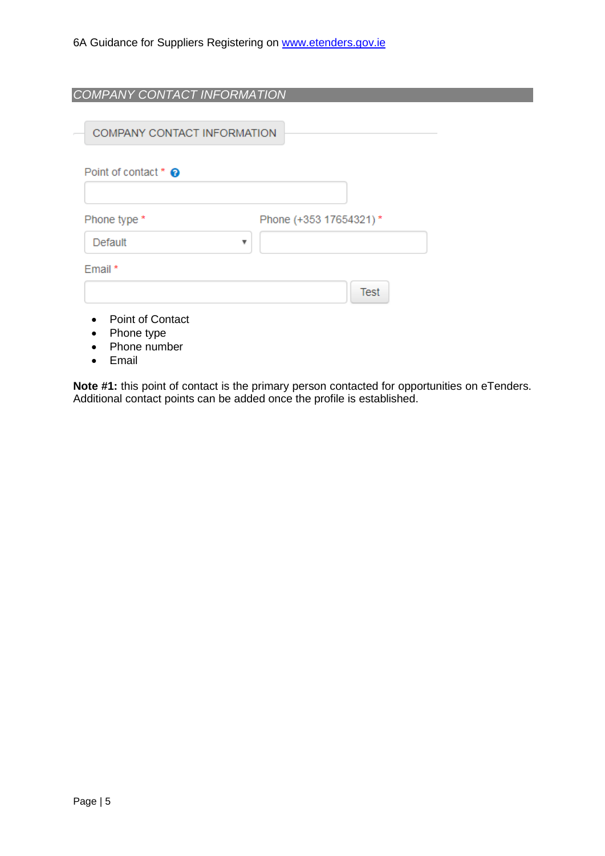<span id="page-4-0"></span>

| COMPANY CONTACT INFORMATION                           |                        |
|-------------------------------------------------------|------------------------|
| COMPANY CONTACT INFORMATION                           |                        |
| Point of contact * @                                  |                        |
| Phone type *                                          | Phone (+353 17654321)* |
| Default                                               | ▼                      |
| Email *                                               | <b>Test</b>            |
| <b>Point of Contact</b><br>Phone type<br>Phone number |                        |

• Email

**Note #1:** this point of contact is the primary person contacted for opportunities on eTenders. Additional contact points can be added once the profile is established.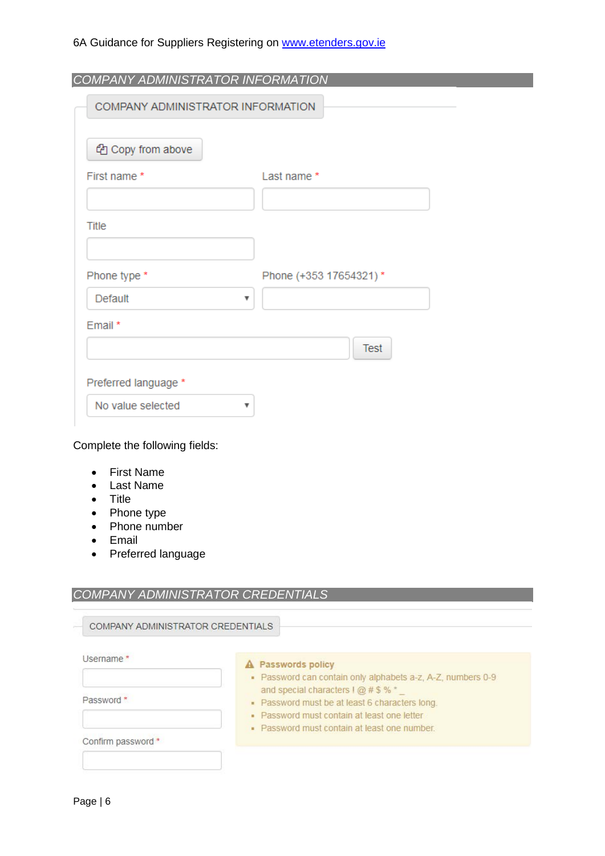<span id="page-5-0"></span>

| COMPANY ADMINISTRATOR INFORMATION |                        |
|-----------------------------------|------------------------|
| ed Copy from above                |                        |
| First name *                      | Last name *            |
|                                   |                        |
| Title                             |                        |
|                                   |                        |
| Phone type *                      | Phone (+353 17654321)* |
| Default                           | v                      |
| Email*                            |                        |
|                                   | <b>Test</b>            |
| Preferred language *              |                        |
| No value selected                 | v                      |

- First Name
- Last Name
- Title
- Phone type
- Phone number
- Email
- Preferred language

#### <span id="page-5-1"></span>*COMPANY ADMINISTRATOR CREDENTIALS*

| Username*          |                                                                                                     |
|--------------------|-----------------------------------------------------------------------------------------------------|
|                    | A Passwords policy                                                                                  |
|                    | • Password can contain only alphabets a-z, A-Z, numbers 0-9<br>and special characters $1 @ # $ % =$ |
| Password *         | • Password must be at least 6 characters long.                                                      |
|                    | • Password must contain at least one letter                                                         |
|                    | • Password must contain at least one number.                                                        |
| Confirm password * |                                                                                                     |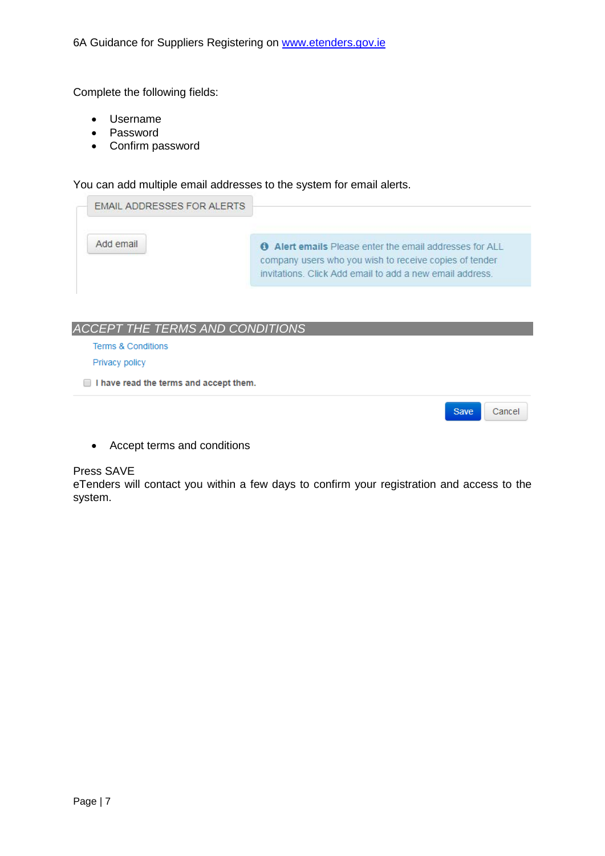Complete the following fields:

- Username
- Password
- Confirm password

You can add multiple email addresses to the system for email alerts.



#### <span id="page-6-0"></span>*ACCEPT THE TERMS AND CONDITIONS*

Terms & Conditions

Privacy policy

I have read the terms and accept them.

Save Cancel

• Accept terms and conditions

#### Press SAVE

eTenders will contact you within a few days to confirm your registration and access to the system.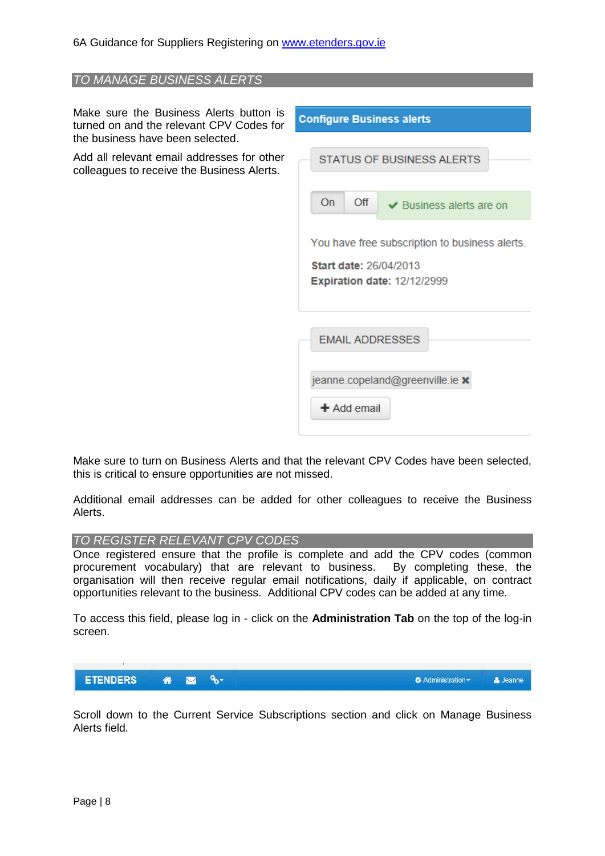<span id="page-7-0"></span>

| TO MANAGE BUSINESS ALERTS                                                                                               |                                                                     |  |  |  |
|-------------------------------------------------------------------------------------------------------------------------|---------------------------------------------------------------------|--|--|--|
|                                                                                                                         |                                                                     |  |  |  |
| Make sure the Business Alerts button is<br>turned on and the relevant CPV Codes for<br>the business have been selected. | <b>Configure Business alerts</b>                                    |  |  |  |
|                                                                                                                         |                                                                     |  |  |  |
| Add all relevant email addresses for other<br>colleagues to receive the Business Alerts.                                | STATUS OF BUSINESS ALERTS                                           |  |  |  |
|                                                                                                                         | On<br>Off<br>$\vee$ Business alerts are on                          |  |  |  |
|                                                                                                                         | You have free subscription to business alerts.                      |  |  |  |
|                                                                                                                         | <b>Start date: 26/04/2013</b><br><b>Expiration date: 12/12/2999</b> |  |  |  |
|                                                                                                                         |                                                                     |  |  |  |
|                                                                                                                         | <b>EMAIL ADDRESSES</b>                                              |  |  |  |
|                                                                                                                         | jeanne.copeland@greenville.ie x                                     |  |  |  |
|                                                                                                                         | $+$ Add email                                                       |  |  |  |

Make sure to turn on Business Alerts and that the relevant CPV Codes have been selected, this is critical to ensure opportunities are not missed.

Additional email addresses can be added for other colleagues to receive the Business Alerts.

#### <span id="page-7-1"></span>*TO REGISTER RELEVANT CPV CODES*

Once registered ensure that the profile is complete and add the CPV codes (common procurement vocabulary) that are relevant to business. By completing these, the organisation will then receive regular email notifications, daily if applicable, on contract opportunities relevant to the business. Additional CPV codes can be added at any time.

To access this field, please log in - click on the **Administration Tab** on the top of the log-in screen.



Scroll down to the Current Service Subscriptions section and click on Manage Business Alerts field.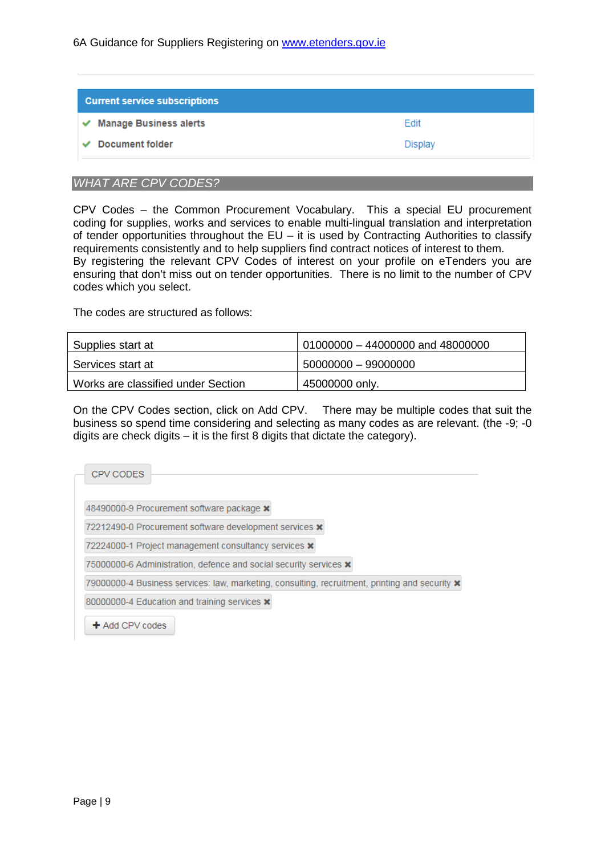| <b>Current service subscriptions</b> |                |
|--------------------------------------|----------------|
| Manage Business alerts<br>✔          | Edit           |
| Document folder                      | <b>Display</b> |

#### <span id="page-8-0"></span>*WHAT ARE CPV CODES?*

CPV Codes – the Common Procurement Vocabulary. This a special EU procurement coding for supplies, works and services to enable multi-lingual translation and interpretation of tender opportunities throughout the  $EU -$  it is used by Contracting Authorities to classify requirements consistently and to help suppliers find contract notices of interest to them. By registering the relevant CPV Codes of interest on your profile on eTenders you are ensuring that don't miss out on tender opportunities. There is no limit to the number of CPV codes which you select.

The codes are structured as follows:

| Supplies start at                  | $01000000 - 44000000$ and 48000000 |
|------------------------------------|------------------------------------|
| Services start at                  | 50000000 - 99000000                |
| Works are classified under Section | 45000000 only.                     |

On the CPV Codes section, click on Add CPV. There may be multiple codes that suit the business so spend time considering and selecting as many codes as are relevant. (the -9; -0 digits are check digits – it is the first 8 digits that dictate the category).

| CPV CODES           |                                                                                                       |  |  |
|---------------------|-------------------------------------------------------------------------------------------------------|--|--|
|                     | 48490000-9 Procurement software package <b>x</b>                                                      |  |  |
|                     | 72212490-0 Procurement software development services <b>x</b>                                         |  |  |
|                     | 72224000-1 Project management consultancy services <b>x</b>                                           |  |  |
|                     | 75000000-6 Administration, defence and social security services <b>x</b>                              |  |  |
|                     | 79000000-4 Business services: law, marketing, consulting, recruitment, printing and security <b>x</b> |  |  |
|                     | 80000000-4 Education and training services <b>x</b>                                                   |  |  |
| $\pm$ Add CPV codes |                                                                                                       |  |  |